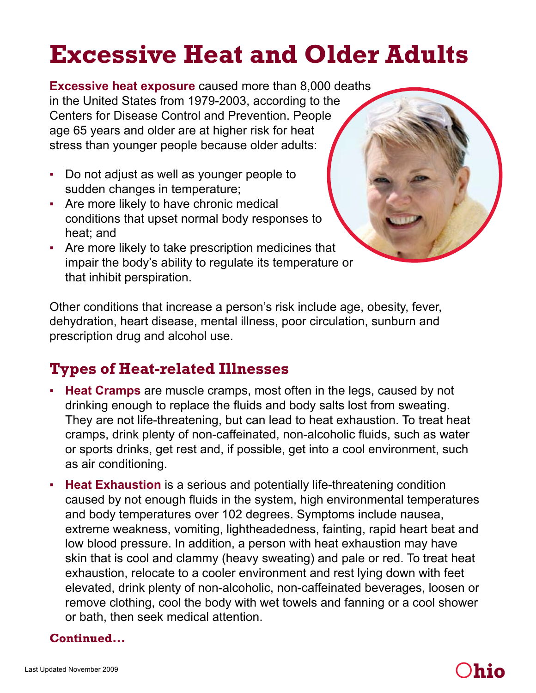# **Excessive Heat and Older Adults**

**Excessive heat exposure** caused more than 8,000 deaths in the United States from 1979-2003, according to the Centers for Disease Control and Prevention. People age 65 years and older are at higher risk for heat stress than younger people because older adults:

- Do not adjust as well as younger people to sudden changes in temperature;
- Are more likely to have chronic medical conditions that upset normal body responses to heat; and
- Are more likely to take prescription medicines that impair the body's ability to regulate its temperature or that inhibit perspiration.

Other conditions that increase a person's risk include age, obesity, fever, dehydration, heart disease, mental illness, poor circulation, sunburn and prescription drug and alcohol use.

# **Types of Heat-related Illnesses**

- **Heat Cramps** are muscle cramps, most often in the legs, caused by not drinking enough to replace the fluids and body salts lost from sweating. They are not life-threatening, but can lead to heat exhaustion. To treat heat cramps, drink plenty of non-caffeinated, non-alcoholic fluids, such as water or sports drinks, get rest and, if possible, get into a cool environment, such as air conditioning.
- **Heat Exhaustion** is a serious and potentially life-threatening condition caused by not enough fluids in the system, high environmental temperatures and body temperatures over 102 degrees. Symptoms include nausea, extreme weakness, vomiting, lightheadedness, fainting, rapid heart beat and low blood pressure. In addition, a person with heat exhaustion may have skin that is cool and clammy (heavy sweating) and pale or red. To treat heat exhaustion, relocate to a cooler environment and rest lying down with feet elevated, drink plenty of non-alcoholic, non-caffeinated beverages, loosen or remove clothing, cool the body with wet towels and fanning or a cool shower or bath, then seek medical attention.

#### **Continued...**